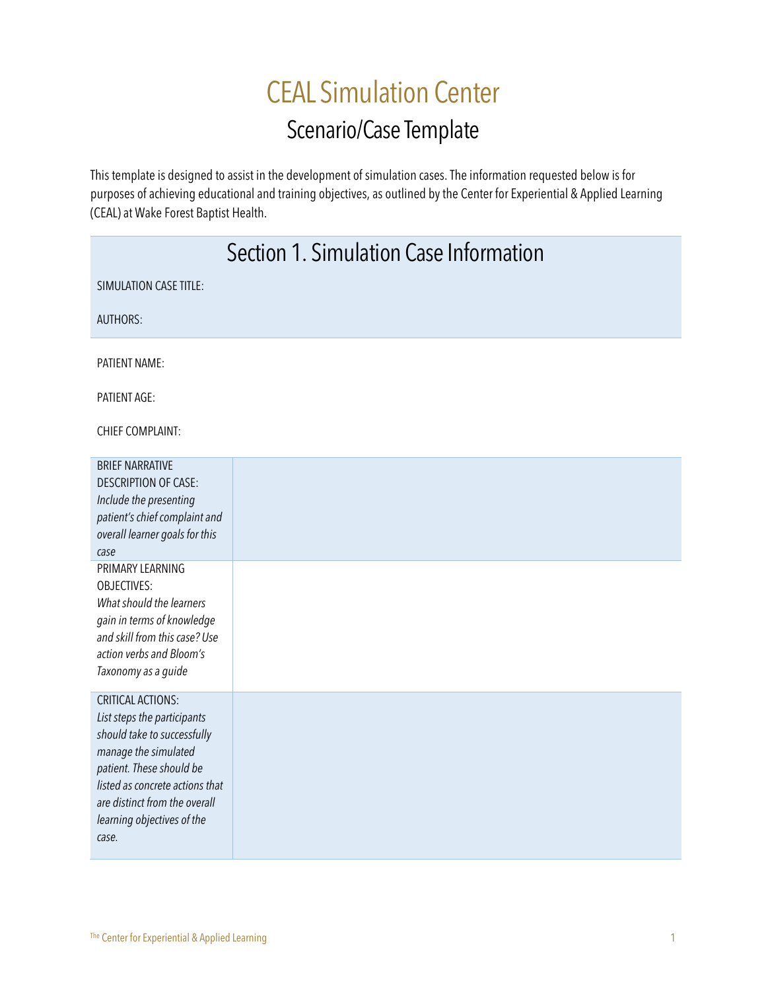# CEAL Simulation Center Scenario/Case Template

This template is designed to assist in the development of simulation cases. The information requested below is for purposes of achieving educational and training objectives, as outlined by the Center for Experiential & Applied Learning (CEAL) at Wake Forest Baptist Health.

|                                                                                                                                                                                                                                                                                                                                                    | Section 1. Simulation Case Information |  |
|----------------------------------------------------------------------------------------------------------------------------------------------------------------------------------------------------------------------------------------------------------------------------------------------------------------------------------------------------|----------------------------------------|--|
| <b>SIMULATION CASE TITLE:</b>                                                                                                                                                                                                                                                                                                                      |                                        |  |
| <b>AUTHORS:</b>                                                                                                                                                                                                                                                                                                                                    |                                        |  |
| <b>PATIENT NAME:</b>                                                                                                                                                                                                                                                                                                                               |                                        |  |
| PATIENT AGE:                                                                                                                                                                                                                                                                                                                                       |                                        |  |
| <b>CHIEF COMPLAINT:</b>                                                                                                                                                                                                                                                                                                                            |                                        |  |
| <b>BRIEF NARRATIVE</b><br><b>DESCRIPTION OF CASE:</b><br>Include the presenting<br>patient's chief complaint and<br>overall learner goals for this<br>case<br>PRIMARY LEARNING<br><b>OBJECTIVES:</b><br>What should the learners<br>gain in terms of knowledge<br>and skill from this case? Use<br>action verbs and Bloom's<br>Taxonomy as a guide |                                        |  |
| <b>CRITICAL ACTIONS:</b><br>List steps the participants<br>should take to successfully<br>manage the simulated<br>patient. These should be<br>listed as concrete actions that<br>are distinct from the overall<br>learning objectives of the<br>case.                                                                                              |                                        |  |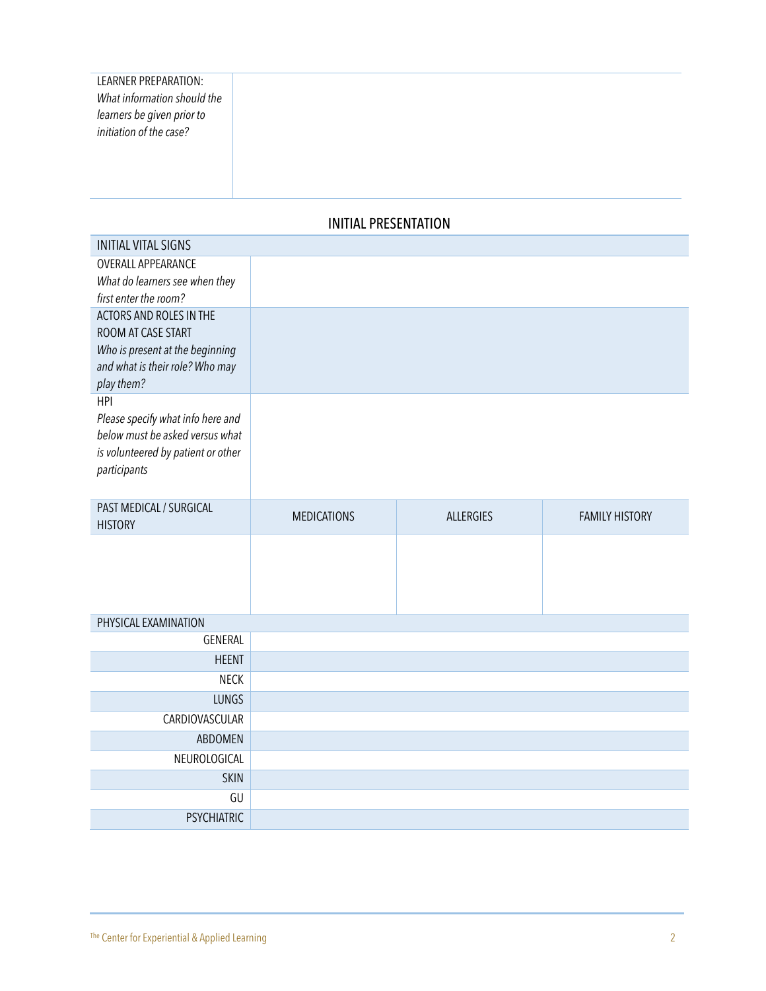| <b>I FARNER PREPARATION:</b> |
|------------------------------|
| What information should the  |
| learners be given prior to   |
| initiation of the case?      |
|                              |

## INITIAL PRESENTATION

| <b>OVERALL APPEARANCE</b>                                          |                    |           |                       |
|--------------------------------------------------------------------|--------------------|-----------|-----------------------|
|                                                                    |                    |           |                       |
| What do learners see when they                                     |                    |           |                       |
| first enter the room?                                              |                    |           |                       |
| ACTORS AND ROLES IN THE                                            |                    |           |                       |
| ROOM AT CASE START                                                 |                    |           |                       |
| Who is present at the beginning<br>and what is their role? Who may |                    |           |                       |
| play them?                                                         |                    |           |                       |
| <b>HPI</b>                                                         |                    |           |                       |
| Please specify what info here and                                  |                    |           |                       |
| below must be asked versus what                                    |                    |           |                       |
| is volunteered by patient or other                                 |                    |           |                       |
| participants                                                       |                    |           |                       |
|                                                                    |                    |           |                       |
| PAST MEDICAL / SURGICAL                                            | <b>MEDICATIONS</b> | ALLERGIES | <b>FAMILY HISTORY</b> |
|                                                                    |                    |           |                       |
|                                                                    |                    |           |                       |
|                                                                    |                    |           |                       |
|                                                                    |                    |           |                       |
|                                                                    |                    |           |                       |
|                                                                    |                    |           |                       |
|                                                                    |                    |           |                       |
|                                                                    |                    |           |                       |
| <b>HEENT</b>                                                       |                    |           |                       |
| <b>NECK</b>                                                        |                    |           |                       |
| <b>LUNGS</b>                                                       |                    |           |                       |
| CARDIOVASCULAR                                                     |                    |           |                       |
| ABDOMEN                                                            |                    |           |                       |
| NEUROLOGICAL                                                       |                    |           |                       |
| <b>SKIN</b><br>GU                                                  |                    |           |                       |
| <b>HISTORY</b><br>PHYSICAL EXAMINATION<br>GENERAL                  |                    |           |                       |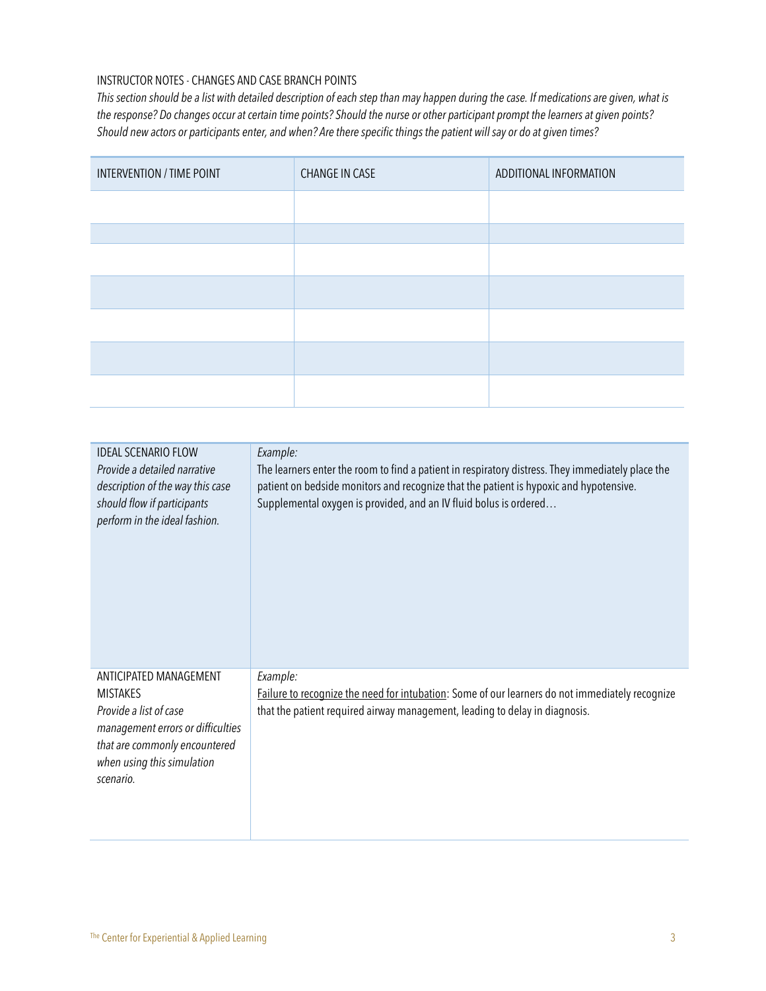#### INSTRUCTOR NOTES - CHANGES AND CASE BRANCH POINTS

This section should be a list with detailed description of each step than may happen during the case. If medications are given, what is the response? Do changes occur at certain time points? Should the nurse or other participant prompt the learners at given points? Should new actors or participants enter, and when? Are there specific things the patient will say or do at given times?

| INTERVENTION / TIME POINT | <b>CHANGE IN CASE</b> | ADDITIONAL INFORMATION |
|---------------------------|-----------------------|------------------------|
|                           |                       |                        |
|                           |                       |                        |
|                           |                       |                        |
|                           |                       |                        |
|                           |                       |                        |
|                           |                       |                        |
|                           |                       |                        |

| <b>IDEAL SCENARIO FLOW</b><br>Provide a detailed narrative<br>description of the way this case<br>should flow if participants<br>perform in the ideal fashion.                       | Example:<br>The learners enter the room to find a patient in respiratory distress. They immediately place the<br>patient on bedside monitors and recognize that the patient is hypoxic and hypotensive.<br>Supplemental oxygen is provided, and an IV fluid bolus is ordered |
|--------------------------------------------------------------------------------------------------------------------------------------------------------------------------------------|------------------------------------------------------------------------------------------------------------------------------------------------------------------------------------------------------------------------------------------------------------------------------|
| ANTICIPATED MANAGEMENT<br><b>MISTAKES</b><br>Provide a list of case<br>management errors or difficulties<br>that are commonly encountered<br>when using this simulation<br>scenario. | Example:<br>Failure to recognize the need for intubation: Some of our learners do not immediately recognize<br>that the patient required airway management, leading to delay in diagnosis.                                                                                   |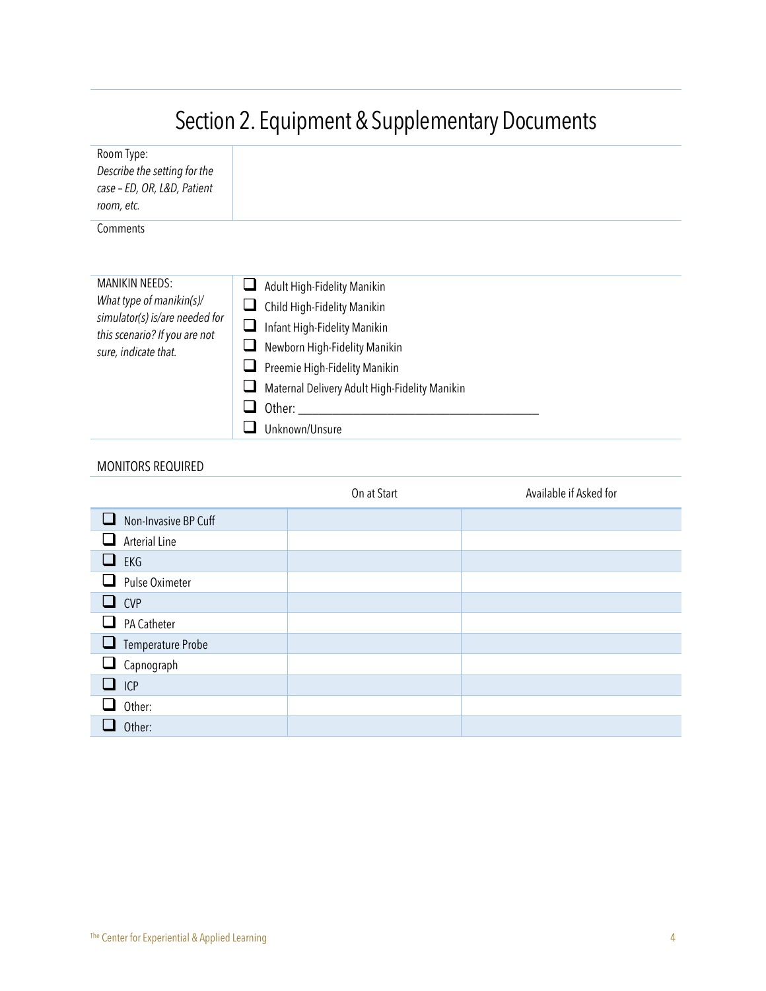|                                                                                         | <b>Securit 2. Equipment &amp; Supplementally Documents</b> |
|-----------------------------------------------------------------------------------------|------------------------------------------------------------|
| Room Type:<br>Describe the setting for the<br>case - ED, OR, L&D, Patient<br>room, etc. |                                                            |
| Comments                                                                                |                                                            |
|                                                                                         |                                                            |
| MANIKIN NEEDS:                                                                          | Adult High-Fidelity Manikin                                |
| What type of manikin( $s$ )/<br>simulator(s) is/are needed for                          | Child High-Fidelity Manikin<br>⊔                           |
| this scenario? If you are not                                                           | Infant High-Fidelity Manikin                               |
| sure, indicate that.                                                                    | Newborn High-Fidelity Manikin                              |
|                                                                                         | Preemie High-Fidelity Manikin                              |
|                                                                                         | Maternal Delivery Adult High-Fidelity Manikin              |
|                                                                                         | Other:                                                     |
|                                                                                         | Unknown/Unsure                                             |

## MONITORS REQUIRED

|                                      | On at Start | Available if Asked for |
|--------------------------------------|-------------|------------------------|
| Non-Invasive BP Cuff<br>$\mathbf{L}$ |             |                        |
| <b>Arterial Line</b>                 |             |                        |
| EKG                                  |             |                        |
| Pulse Oximeter                       |             |                        |
| <b>CVP</b>                           |             |                        |
| PA Catheter                          |             |                        |
| $\Box$<br>Temperature Probe          |             |                        |
| Capnograph<br>⊔                      |             |                        |
| ICP                                  |             |                        |
| Other:                               |             |                        |
| Other:                               |             |                        |